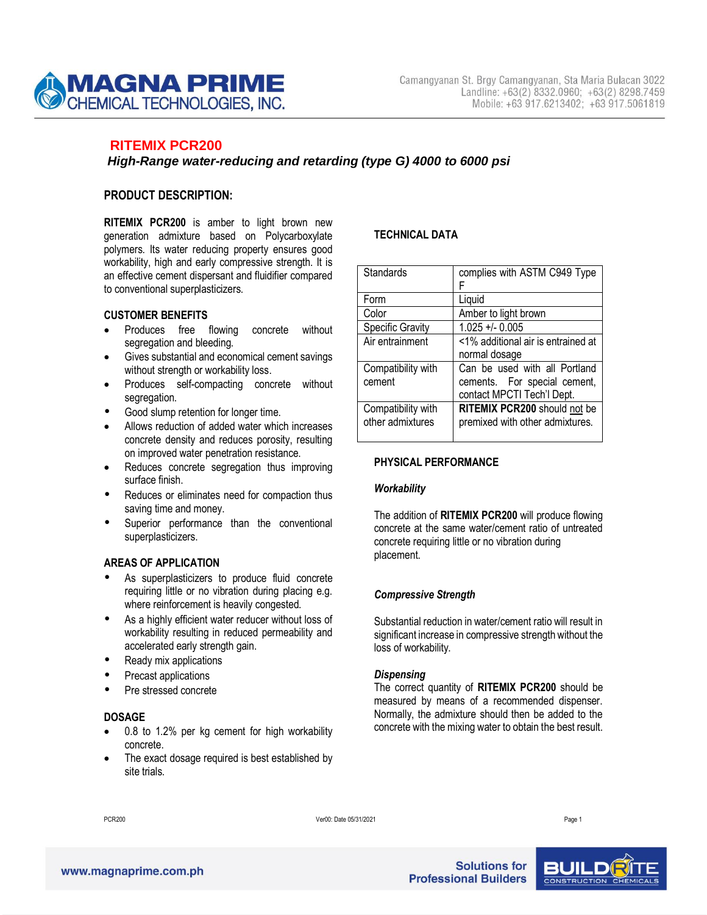

# **RITEMIX PCR200**

# *High-Range water-reducing and retarding (type G) 4000 to 6000 psi*

## **PRODUCT DESCRIPTION:**

**RITEMIX PCR200** is amber to light brown new generation admixture based on Polycarboxylate polymers. Its water reducing property ensures good workability, high and early compressive strength. It is an effective cement dispersant and fluidifier compared to conventional superplasticizers.

### **CUSTOMER BENEFITS**

- Produces free flowing concrete without segregation and bleeding.
- Gives substantial and economical cement savings without strength or workability loss.
- Produces self-compacting concrete without segregation.
- Good slump retention for longer time.
- Allows reduction of added water which increases concrete density and reduces porosity, resulting on improved water penetration resistance.
- Reduces concrete segregation thus improving surface finish.
- Reduces or eliminates need for compaction thus saving time and money.
- Superior performance than the conventional superplasticizers.

### **AREAS OF APPLICATION**

- As superplasticizers to produce fluid concrete requiring little or no vibration during placing e.g. where reinforcement is heavily congested.
- As a highly efficient water reducer without loss of workability resulting in reduced permeability and accelerated early strength gain.
- Ready mix applications
- Precast applications
- Pre stressed concrete

### **DOSAGE**

- 0.8 to 1.2% per kg cement for high workability concrete.
- The exact dosage required is best established by site trials.

# **TECHNICAL DATA**

| Standards               | complies with ASTM C949 Type       |
|-------------------------|------------------------------------|
|                         | F                                  |
| Form                    | Liquid                             |
| Color                   | Amber to light brown               |
| <b>Specific Gravity</b> | $1.025 + 0.005$                    |
| Air entrainment         | <1% additional air is entrained at |
|                         | normal dosage                      |
| Compatibility with      | Can be used with all Portland      |
| cement                  | cements. For special cement,       |
|                         | contact MPCTI Tech'l Dept.         |
| Compatibility with      | RITEMIX PCR200 should not be       |
| other admixtures        | premixed with other admixtures.    |
|                         |                                    |

#### **PHYSICAL PERFORMANCE**

### *Workability*

The addition of **RITEMIX PCR200** will produce flowing concrete at the same water/cement ratio of untreated concrete requiring little or no vibration during placement.

### *Compressive Strength*

Substantial reduction in water/cement ratio will result in significant increase in compressive strength without the loss of workability.

#### *Dispensing*

The correct quantity of **RITEMIX PCR200** should be measured by means of a recommended dispenser. Normally, the admixture should then be added to the concrete with the mixing water to obtain the best result.

PCR200

PCR200 Ver00: Date 05/31/2021 Page 1

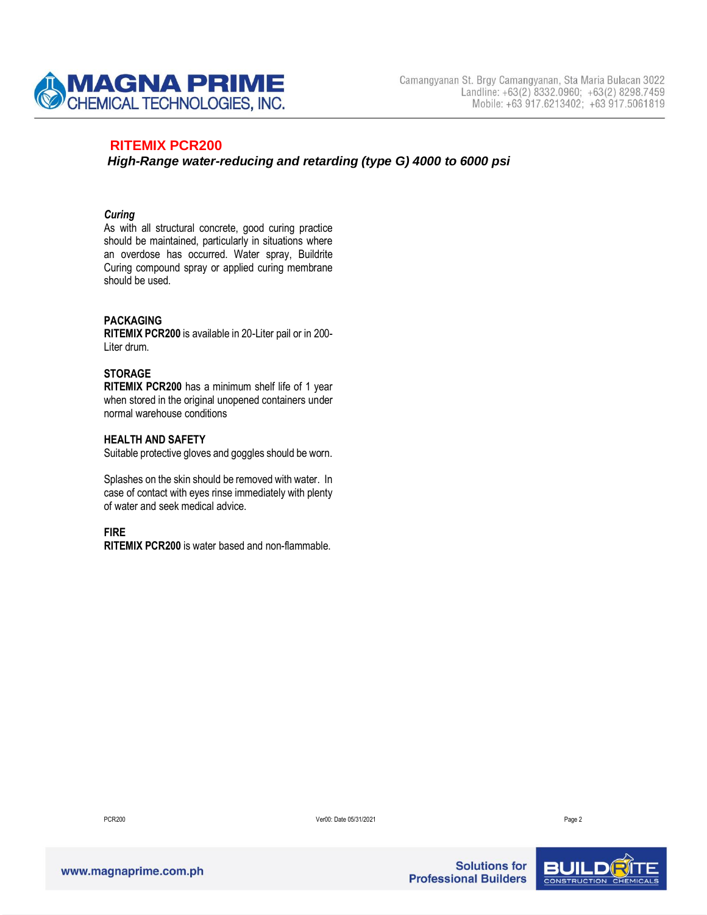

# **RITEMIX PCR200**

*High-Range water-reducing and retarding (type G) 4000 to 6000 psi*

#### *Curing*

As with all structural concrete, good curing practice should be maintained, particularly in situations where an overdose has occurred. Water spray, Buildrite Curing compound spray or applied curing membrane should be used.

### **PACKAGING**

**RITEMIX PCR200** is available in 20-Liter pail or in 200- Liter drum.

#### **STORAGE**

**RITEMIX PCR200** has a minimum shelf life of 1 year when stored in the original unopened containers under normal warehouse conditions

#### **HEALTH AND SAFETY**

Suitable protective gloves and goggles should be worn.

Splashes on the skin should be removed with water. In case of contact with eyes rinse immediately with plenty of water and seek medical advice.

#### **FIRE**

**RITEMIX PCR200** is water based and non-flammable.

**PCR200** 

PCR200 Ver00: Date 05/31/2021 Page 2



**Solutions for Professional Builders**